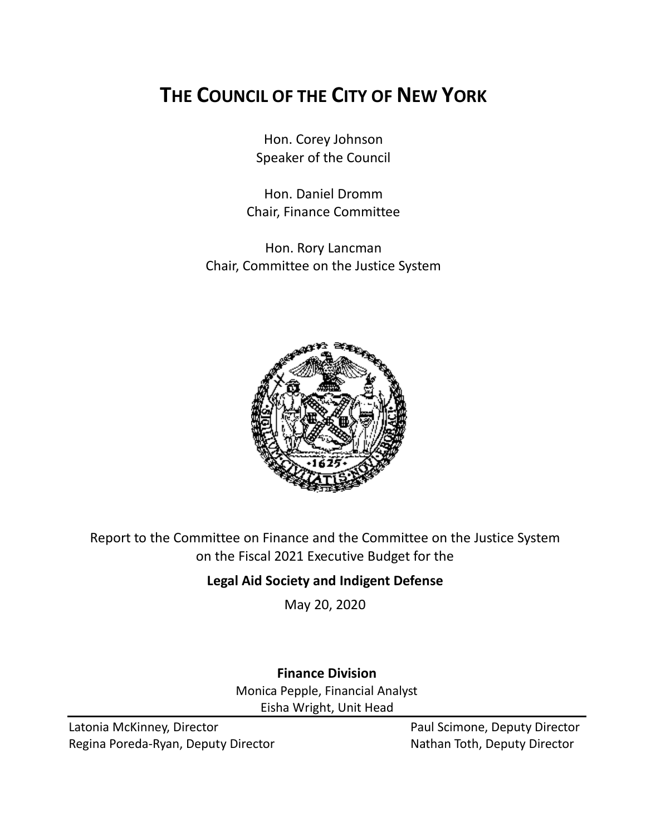# **THE COUNCIL OF THE CITY OF NEW YORK**

Hon. Corey Johnson Speaker of the Council

Hon. Daniel Dromm Chair, Finance Committee

Hon. Rory Lancman Chair, Committee on the Justice System



Report to the Committee on Finance and the Committee on the Justice System on the Fiscal 2021 Executive Budget for the

## **Legal Aid Society and Indigent Defense**

May 20, 2020

## **Finance Division** Monica Pepple, Financial Analyst

Eisha Wright, Unit Head

Latonia McKinney, Director **Paul Scimone, Deputy Director** Paul Scimone, Deputy Director Regina Poreda-Ryan, Deputy Director Nathan Toth, Deputy Director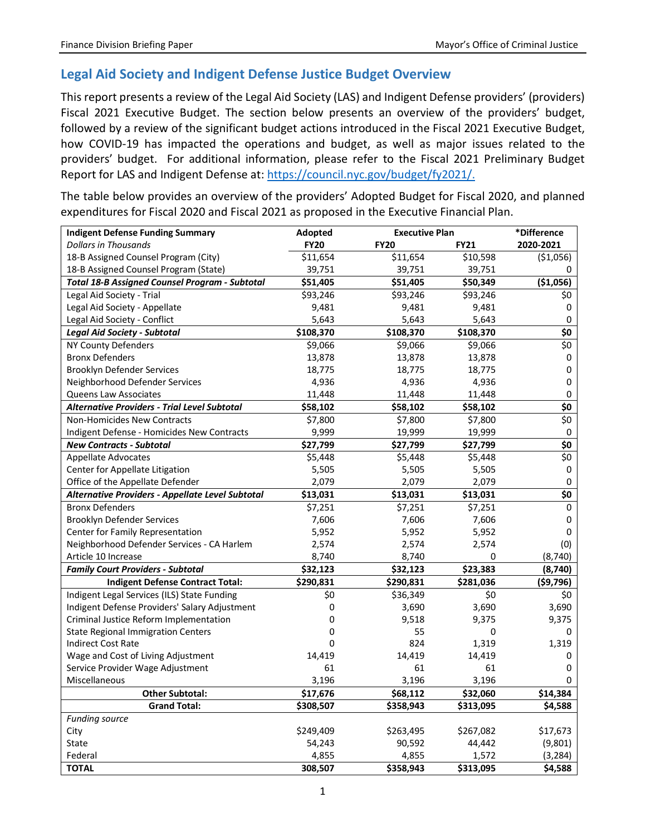## **Legal Aid Society and Indigent Defense Justice Budget Overview**

This report presents a review of the Legal Aid Society (LAS) and Indigent Defense providers' (providers) Fiscal 2021 Executive Budget. The section below presents an overview of the providers' budget, followed by a review of the significant budget actions introduced in the Fiscal 2021 Executive Budget, how COVID-19 has impacted the operations and budget, as well as major issues related to the providers' budget. For additional information, please refer to the Fiscal 2021 Preliminary Budget Report for LAS and Indigent Defense at: [https://council.nyc.gov/budget/fy2021/.](https://council.nyc.gov/budget/fy2021/)

The table below provides an overview of the providers' Adopted Budget for Fiscal 2020, and planned expenditures for Fiscal 2020 and Fiscal 2021 as proposed in the Executive Financial Plan.

| <b>Indigent Defense Funding Summary</b>               | Adopted     | <b>Executive Plan</b> |             | *Difference        |
|-------------------------------------------------------|-------------|-----------------------|-------------|--------------------|
| <b>Dollars in Thousands</b>                           | <b>FY20</b> | <b>FY20</b>           | <b>FY21</b> | 2020-2021          |
| 18-B Assigned Counsel Program (City)                  | \$11,654    | \$11,654              | \$10,598    | ( \$1,056)         |
| 18-B Assigned Counsel Program (State)                 | 39,751      | 39,751                | 39,751      | 0                  |
| <b>Total 18-B Assigned Counsel Program - Subtotal</b> | \$51,405    | \$51,405              | \$50,349    | (\$1,056)          |
| Legal Aid Society - Trial                             | \$93,246    | \$93,246              | \$93,246    | \$0                |
| Legal Aid Society - Appellate                         | 9,481       | 9,481                 | 9,481       | 0                  |
| Legal Aid Society - Conflict                          | 5,643       | 5,643                 | 5,643       | $\mathsf 0$        |
| <b>Legal Aid Society - Subtotal</b>                   | \$108,370   | \$108,370             | \$108,370   | \$0                |
| <b>NY County Defenders</b>                            | \$9,066     | \$9,066               | \$9,066     | \$0                |
| <b>Bronx Defenders</b>                                | 13,878      | 13,878                | 13,878      | $\pmb{0}$          |
| Brooklyn Defender Services                            | 18,775      | 18,775                | 18,775      | $\mathbf 0$        |
| Neighborhood Defender Services                        | 4,936       | 4,936                 | 4,936       | $\mathbf 0$        |
| Queens Law Associates                                 | 11,448      | 11,448                | 11,448      | 0                  |
| <b>Alternative Providers - Trial Level Subtotal</b>   | \$58,102    | \$58,102              | \$58,102    | \$0                |
| Non-Homicides New Contracts                           | \$7,800     | \$7,800               | \$7,800     | \$0                |
| Indigent Defense - Homicides New Contracts            | 9,999       | 19,999                | 19,999      | 0                  |
| <b>New Contracts - Subtotal</b>                       | \$27,799    | \$27,799              | \$27,799    | \$0                |
| <b>Appellate Advocates</b>                            | \$5,448     | \$5,448               | \$5,448     | $\overline{\xi_0}$ |
| Center for Appellate Litigation                       | 5,505       | 5,505                 | 5,505       | 0                  |
| Office of the Appellate Defender                      | 2,079       | 2,079                 | 2,079       | 0                  |
| Alternative Providers - Appellate Level Subtotal      | \$13,031    | \$13,031              | \$13,031    | \$0                |
| <b>Bronx Defenders</b>                                | \$7,251     | \$7,251               | \$7,251     | 0                  |
| Brooklyn Defender Services                            | 7,606       | 7,606                 | 7,606       | 0                  |
| Center for Family Representation                      | 5,952       | 5,952                 | 5,952       | 0                  |
| Neighborhood Defender Services - CA Harlem            | 2,574       | 2,574                 | 2,574       | (0)                |
| Article 10 Increase                                   | 8,740       | 8,740                 | 0           | (8, 740)           |
| <b>Family Court Providers - Subtotal</b>              | \$32,123    | \$32,123              | \$23,383    | (8,740)            |
| <b>Indigent Defense Contract Total:</b>               | \$290,831   | \$290,831             | \$281,036   | ( \$9,796)         |
| Indigent Legal Services (ILS) State Funding           | \$0         | \$36,349              | \$0         | \$0                |
| Indigent Defense Providers' Salary Adjustment         | 0           | 3,690                 | 3,690       | 3,690              |
| Criminal Justice Reform Implementation                | 0           | 9,518                 | 9,375       | 9,375              |
| <b>State Regional Immigration Centers</b>             | 0           | 55                    | 0           | 0                  |
| <b>Indirect Cost Rate</b>                             | $\Omega$    | 824                   | 1,319       | 1,319              |
| Wage and Cost of Living Adjustment                    | 14,419      | 14,419                | 14,419      | 0                  |
| Service Provider Wage Adjustment                      | 61          | 61                    | 61          | 0                  |
| Miscellaneous                                         | 3,196       | 3,196                 | 3,196       | 0                  |
| <b>Other Subtotal:</b>                                | \$17,676    | \$68,112              | \$32,060    | \$14,384           |
| <b>Grand Total:</b>                                   | \$308,507   | \$358,943             | \$313,095   | \$4,588            |
| Funding source                                        |             |                       |             |                    |
| City                                                  | \$249,409   | \$263,495             | \$267,082   | \$17,673           |
| <b>State</b>                                          | 54,243      | 90,592                | 44,442      | (9,801)            |
| Federal                                               | 4,855       | 4,855                 | 1,572       | (3, 284)           |
| <b>TOTAL</b>                                          | 308,507     | \$358,943             | \$313,095   | \$4,588            |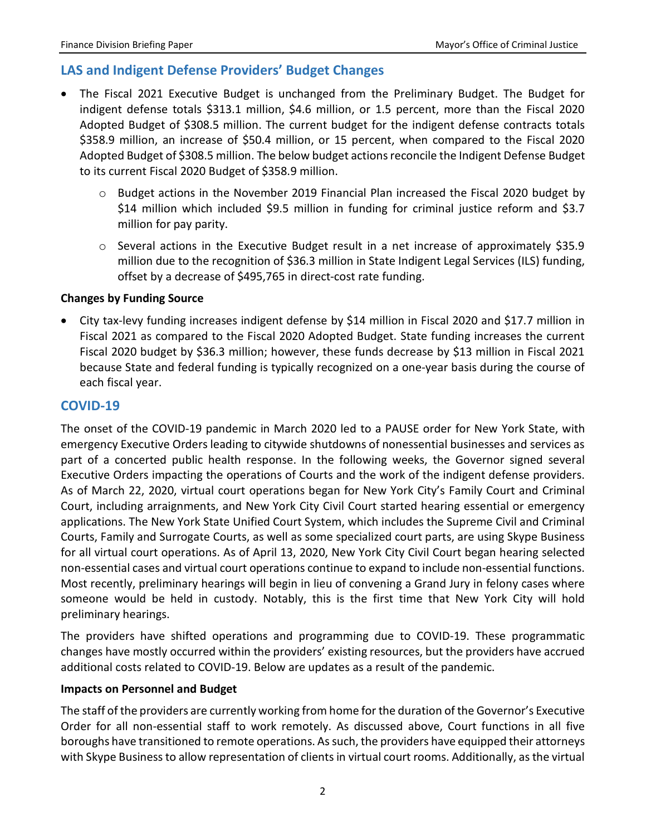### **LAS and Indigent Defense Providers' Budget Changes**

- The Fiscal 2021 Executive Budget is unchanged from the Preliminary Budget. The Budget for indigent defense totals \$313.1 million, \$4.6 million, or 1.5 percent, more than the Fiscal 2020 Adopted Budget of \$308.5 million. The current budget for the indigent defense contracts totals \$358.9 million, an increase of \$50.4 million, or 15 percent, when compared to the Fiscal 2020 Adopted Budget of \$308.5 million. The below budget actions reconcile the Indigent Defense Budget to its current Fiscal 2020 Budget of \$358.9 million.
	- $\circ$  Budget actions in the November 2019 Financial Plan increased the Fiscal 2020 budget by \$14 million which included \$9.5 million in funding for criminal justice reform and \$3.7 million for pay parity.
	- $\circ$  Several actions in the Executive Budget result in a net increase of approximately \$35.9 million due to the recognition of \$36.3 million in State Indigent Legal Services (ILS) funding, offset by a decrease of \$495,765 in direct-cost rate funding.

#### **Changes by Funding Source**

• City tax-levy funding increases indigent defense by \$14 million in Fiscal 2020 and \$17.7 million in Fiscal 2021 as compared to the Fiscal 2020 Adopted Budget. State funding increases the current Fiscal 2020 budget by \$36.3 million; however, these funds decrease by \$13 million in Fiscal 2021 because State and federal funding is typically recognized on a one-year basis during the course of each fiscal year.

#### **COVID-19**

The onset of the COVID-19 pandemic in March 2020 led to a PAUSE order for New York State, with emergency Executive Orders leading to citywide shutdowns of nonessential businesses and services as part of a concerted public health response. In the following weeks, the Governor signed several Executive Orders impacting the operations of Courts and the work of the indigent defense providers. As of March 22, 2020, virtual court operations began for New York City's Family Court and Criminal Court, including arraignments, and New York City Civil Court started hearing essential or emergency applications. The New York State Unified Court System, which includes the Supreme Civil and Criminal Courts, Family and Surrogate Courts, as well as some specialized court parts, are using Skype Business for all virtual court operations. As of April 13, 2020, New York City Civil Court began hearing selected non-essential cases and virtual court operations continue to expand to include non-essential functions. Most recently, preliminary hearings will begin in lieu of convening a Grand Jury in felony cases where someone would be held in custody. Notably, this is the first time that New York City will hold preliminary hearings.

The providers have shifted operations and programming due to COVID-19. These programmatic changes have mostly occurred within the providers' existing resources, but the providers have accrued additional costs related to COVID-19. Below are updates as a result of the pandemic.

#### **Impacts on Personnel and Budget**

The staff of the providers are currently working from home for the duration of the Governor's Executive Order for all non-essential staff to work remotely. As discussed above, Court functions in all five boroughs have transitioned to remote operations. As such, the providers have equipped their attorneys with Skype Business to allow representation of clients in virtual court rooms. Additionally, as the virtual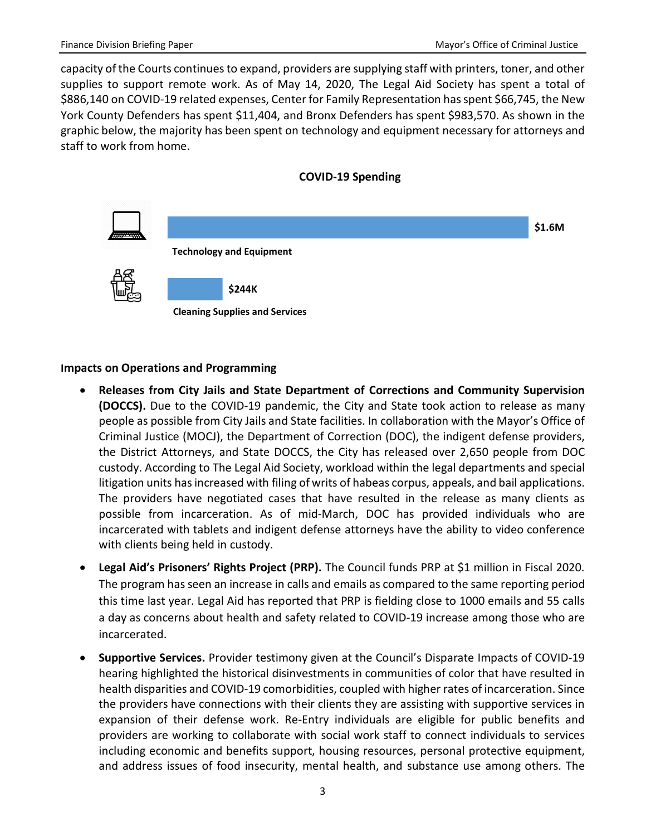capacity of the Courts continues to expand, providers are supplying staff with printers, toner, and other supplies to support remote work. As of May 14, 2020, The Legal Aid Society has spent a total of \$886,140 on COVID-19 related expenses, Center for Family Representation has spent \$66,745, the New York County Defenders has spent \$11,404, and Bronx Defenders has spent \$983,570. As shown in the graphic below, the majority has been spent on technology and equipment necessary for attorneys and staff to work from home.





#### **Impacts on Operations and Programming**

- **Releases from City Jails and State Department of Corrections and Community Supervision (DOCCS).** Due to the COVID-19 pandemic, the City and State took action to release as many people as possible from City Jails and State facilities. In collaboration with the Mayor's Office of Criminal Justice (MOCJ), the Department of Correction (DOC), the indigent defense providers, the District Attorneys, and State DOCCS, the City has released over 2,650 people from DOC custody. According to The Legal Aid Society, workload within the legal departments and special litigation units has increased with filing of writs of habeas corpus, appeals, and bail applications. The providers have negotiated cases that have resulted in the release as many clients as possible from incarceration. As of mid-March, DOC has provided individuals who are incarcerated with tablets and indigent defense attorneys have the ability to video conference with clients being held in custody.
- **Legal Aid's Prisoners' Rights Project (PRP).** The Council funds PRP at \$1 million in Fiscal 2020. The program has seen an increase in calls and emails as compared to the same reporting period this time last year. Legal Aid has reported that PRP is fielding close to 1000 emails and 55 calls a day as concerns about health and safety related to COVID-19 increase among those who are incarcerated.
- **Supportive Services.** Provider testimony given at the Council's Disparate Impacts of COVID-19 hearing highlighted the historical disinvestments in communities of color that have resulted in health disparities and COVID-19 comorbidities, coupled with higher rates of incarceration. Since the providers have connections with their clients they are assisting with supportive services in expansion of their defense work. Re-Entry individuals are eligible for public benefits and providers are working to collaborate with social work staff to connect individuals to services including economic and benefits support, housing resources, personal protective equipment, and address issues of food insecurity, mental health, and substance use among others. The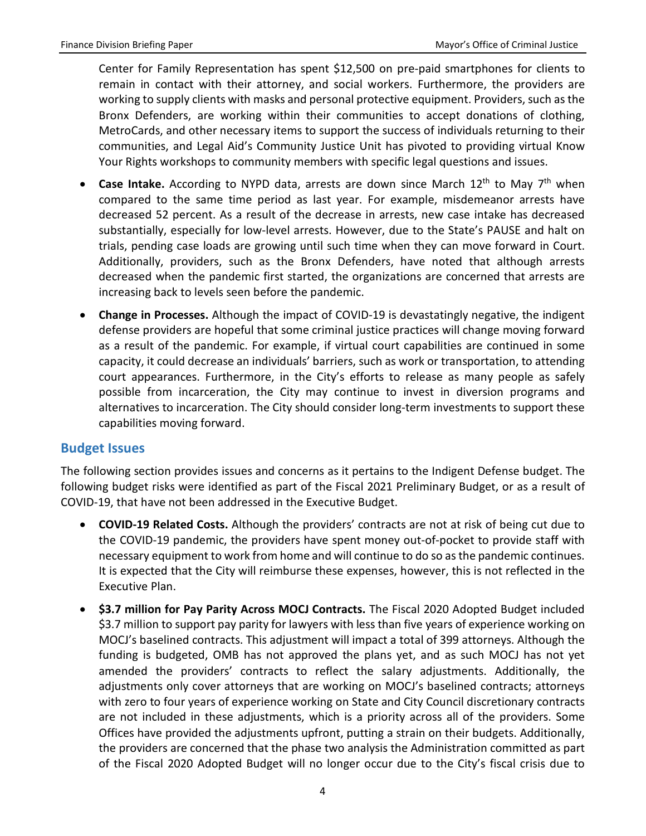Center for Family Representation has spent \$12,500 on pre-paid smartphones for clients to remain in contact with their attorney, and social workers. Furthermore, the providers are working to supply clients with masks and personal protective equipment. Providers, such as the Bronx Defenders, are working within their communities to accept donations of clothing, MetroCards, and other necessary items to support the success of individuals returning to their communities, and Legal Aid's Community Justice Unit has pivoted to providing virtual Know Your Rights workshops to community members with specific legal questions and issues.

- **Case Intake.** According to NYPD data, arrests are down since March 12th to May 7th when compared to the same time period as last year. For example, misdemeanor arrests have decreased 52 percent. As a result of the decrease in arrests, new case intake has decreased substantially, especially for low-level arrests. However, due to the State's PAUSE and halt on trials, pending case loads are growing until such time when they can move forward in Court. Additionally, providers, such as the Bronx Defenders, have noted that although arrests decreased when the pandemic first started, the organizations are concerned that arrests are increasing back to levels seen before the pandemic.
- **Change in Processes.** Although the impact of COVID-19 is devastatingly negative, the indigent defense providers are hopeful that some criminal justice practices will change moving forward as a result of the pandemic. For example, if virtual court capabilities are continued in some capacity, it could decrease an individuals' barriers, such as work or transportation, to attending court appearances. Furthermore, in the City's efforts to release as many people as safely possible from incarceration, the City may continue to invest in diversion programs and alternatives to incarceration. The City should consider long-term investments to support these capabilities moving forward.

#### **Budget Issues**

The following section provides issues and concerns as it pertains to the Indigent Defense budget. The following budget risks were identified as part of the Fiscal 2021 Preliminary Budget, or as a result of COVID-19, that have not been addressed in the Executive Budget.

- **COVID-19 Related Costs.** Although the providers' contracts are not at risk of being cut due to the COVID-19 pandemic, the providers have spent money out-of-pocket to provide staff with necessary equipment to work from home and will continue to do so as the pandemic continues. It is expected that the City will reimburse these expenses, however, this is not reflected in the Executive Plan.
- **\$3.7 million for Pay Parity Across MOCJ Contracts.** The Fiscal 2020 Adopted Budget included \$3.7 million to support pay parity for lawyers with less than five years of experience working on MOCJ's baselined contracts. This adjustment will impact a total of 399 attorneys. Although the funding is budgeted, OMB has not approved the plans yet, and as such MOCJ has not yet amended the providers' contracts to reflect the salary adjustments. Additionally, the adjustments only cover attorneys that are working on MOCJ's baselined contracts; attorneys with zero to four years of experience working on State and City Council discretionary contracts are not included in these adjustments, which is a priority across all of the providers. Some Offices have provided the adjustments upfront, putting a strain on their budgets. Additionally, the providers are concerned that the phase two analysis the Administration committed as part of the Fiscal 2020 Adopted Budget will no longer occur due to the City's fiscal crisis due to